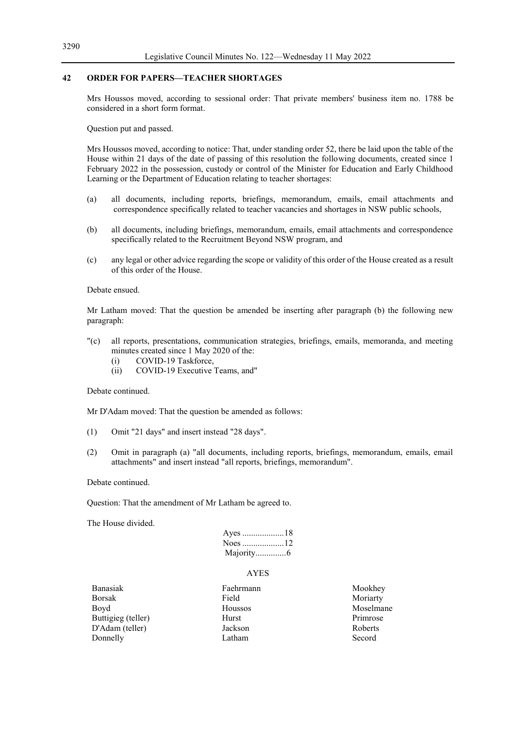# **42 ORDER FOR PAPERS—TEACHER SHORTAGES**

Mrs Houssos moved, according to sessional order: That private members' business item no. 1788 be considered in a short form format.

Question put and passed.

Mrs Houssos moved, according to notice: That, under standing order 52, there be laid upon the table of the House within 21 days of the date of passing of this resolution the following documents, created since 1 February 2022 in the possession, custody or control of the Minister for Education and Early Childhood Learning or the Department of Education relating to teacher shortages:

- (a) all documents, including reports, briefings, memorandum, emails, email attachments and correspondence specifically related to teacher vacancies and shortages in NSW public schools,
- (b) all documents, including briefings, memorandum, emails, email attachments and correspondence specifically related to the Recruitment Beyond NSW program, and
- (c) any legal or other advice regarding the scope or validity of this order of the House created as a result of this order of the House.

## Debate ensued.

Mr Latham moved: That the question be amended be inserting after paragraph (b) the following new paragraph:

- "(c) all reports, presentations, communication strategies, briefings, emails, memoranda, and meeting minutes created since 1 May 2020 of the:
	- (i) COVID-19 Taskforce,
	- (ii) COVID-19 Executive Teams, and"

#### Debate continued.

Mr D'Adam moved: That the question be amended as follows:

- (1) Omit "21 days" and insert instead "28 days".
- (2) Omit in paragraph (a) "all documents, including reports, briefings, memorandum, emails, email attachments" and insert instead "all reports, briefings, memorandum".

Debate continued.

Question: That the amendment of Mr Latham be agreed to.

The House divided.

| Majority6 |  |
|-----------|--|

## AYES

- Banasiak Faehrmann Mookhey Borsak Field Moriarty Boyd **Houssos** Houssos Moselmane Buttigieg (teller) Hurst Primrose D'Adam (teller) Jackson Roberts Donnelly **Latham** Secord
	-